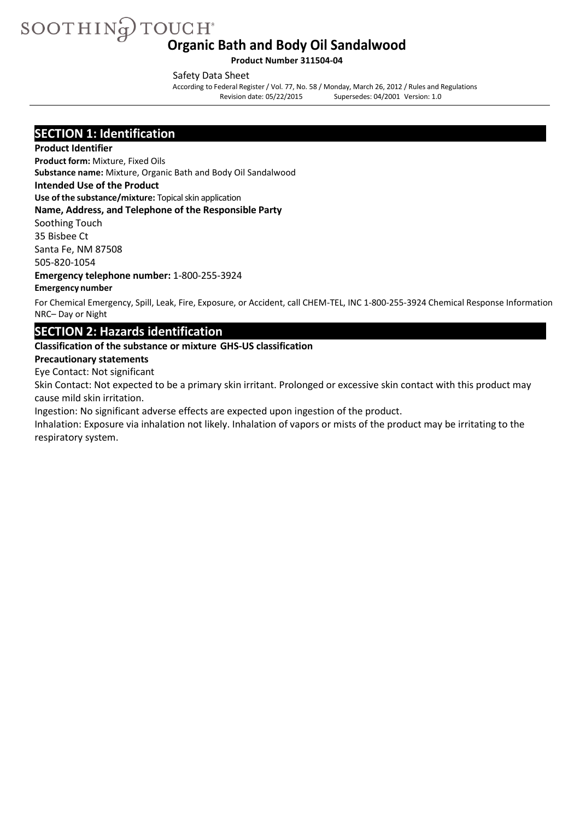SOOTHING TOUCH **Organic Bath and Body Oil Sandalwood**

**Product Number 311504-04**

Safety Data Sheet

According to Federal Register/ Vol. 77, No. 58 / Monday, March 26, 2012 / Rules and Regulations Supersedes: 04/2001 Version: 1.0

### **SECTION 1: Identification**

#### **Product Identifier**

**Product form:** Mixture, Fixed Oils

**Substance name:** Mixture, Organic Bath and Body Oil Sandalwood

**Intended Use of the Product**

**Use of the substance/mixture:** Topicalskin application

#### **Name, Address, and Telephone of the Responsible Party**

Soothing Touch 35 Bisbee Ct

Santa Fe, NM 87508

505-820-1054

**Emergency telephone number:** 1-800-255-3924

#### **Emergency number**

For Chemical Emergency, Spill, Leak, Fire, Exposure, or Accident, call CHEM-TEL, INC 1-800-255-3924 Chemical Response Information NRC– Day or Night

### **SECTION 2: Hazards identification**

#### **Classification of the substance or mixture GHS-US classification**

#### **Precautionary statements**

Eye Contact: Not significant

Skin Contact: Not expected to be a primary skin irritant. Prolonged or excessive skin contact with this product may cause mild skin irritation.

Ingestion: No significant adverse effects are expected upon ingestion of the product.

Inhalation: Exposure via inhalation not likely. Inhalation of vapors or mists of the product may be irritating to the respiratory system.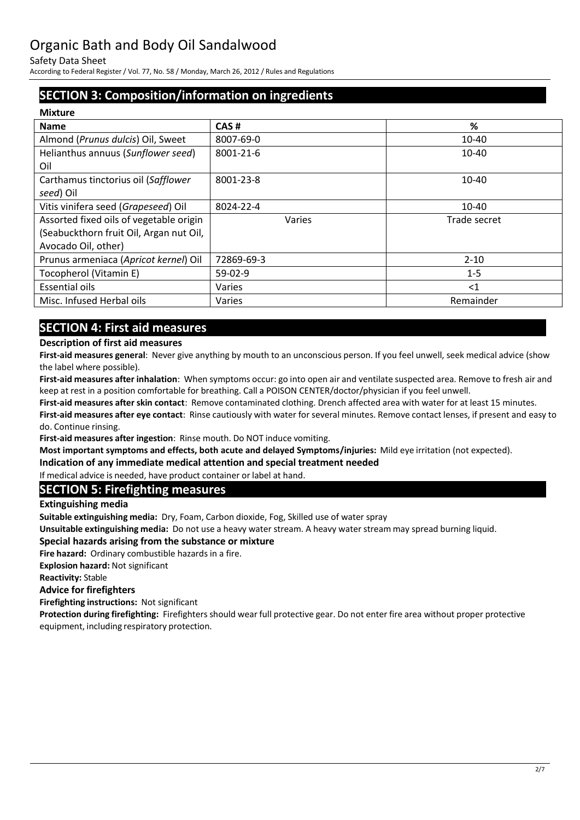Safety Data Sheet

According to Federal Register/ Vol. 77, No. 58 / Monday, March 26, 2012 / Rules and Regulations

## **SECTION 3: Composition/information on ingredients**

| <b>Mixture</b>                          |            |              |  |
|-----------------------------------------|------------|--------------|--|
| <b>Name</b>                             | CAS#       | %            |  |
| Almond (Prunus dulcis) Oil, Sweet       | 8007-69-0  | 10-40        |  |
| Helianthus annuus (Sunflower seed)      | 8001-21-6  | 10-40        |  |
| Oil                                     |            |              |  |
| Carthamus tinctorius oil (Safflower     | 8001-23-8  | $10 - 40$    |  |
| seed) Oil                               |            |              |  |
| Vitis vinifera seed (Grapeseed) Oil     | 8024-22-4  | $10 - 40$    |  |
| Assorted fixed oils of vegetable origin | Varies     | Trade secret |  |
| (Seabuckthorn fruit Oil, Argan nut Oil, |            |              |  |
| Avocado Oil, other)                     |            |              |  |
| Prunus armeniaca (Apricot kernel) Oil   | 72869-69-3 | $2 - 10$     |  |
| Tocopherol (Vitamin E)                  | $59-02-9$  | $1 - 5$      |  |
| <b>Essential oils</b>                   | Varies     | $<$ 1        |  |
| Misc. Infused Herbal oils               | Varies     | Remainder    |  |
|                                         |            |              |  |

## **SECTION 4: First aid measures**

#### **Description of first aid measures**

**First-aid measures general**: Never give anything by mouth to an unconscious person. If you feel unwell, seek medical advice (show the label where possible).

**First-aid measures after inhalation**: When symptoms occur: go into open air and ventilate suspected area. Remove to fresh air and keep at rest in a position comfortable for breathing. Call a POISON CENTER/doctor/physician if you feel unwell.

**First-aid measures after skin contact**: Remove contaminated clothing. Drench affected area with water for at least 15 minutes. **First-aid measures after eye contact**: Rinse cautiously with water for several minutes. Remove contact lenses, if present and easy to do. Continue rinsing.

**First-aid measures after ingestion**: Rinse mouth. Do NOT induce vomiting.

**Most important symptoms and effects, both acute and delayed Symptoms/injuries:** Mild eye irritation (not expected).

**Indication of any immediate medical attention and special treatment needed** 

If medical advice is needed, have product container or label at hand.

### **SECTION 5: Firefighting measures**

**Extinguishing media**

**Suitable extinguishing media:** Dry, Foam, Carbon dioxide, Fog, Skilled use of water spray

**Unsuitable extinguishing media:** Do not use a heavy water stream. A heavy water stream may spread burning liquid.

#### **Special hazards arising from the substance or mixture**

**Fire hazard:** Ordinary combustible hazards in a fire.

**Explosion hazard:** Not significant

**Reactivity:** Stable

#### **Advice for firefighters**

**Firefighting instructions:** Not significant

**Protection during firefighting:** Firefighters should wear full protective gear. Do not enter fire area without proper protective equipment, including respiratory protection.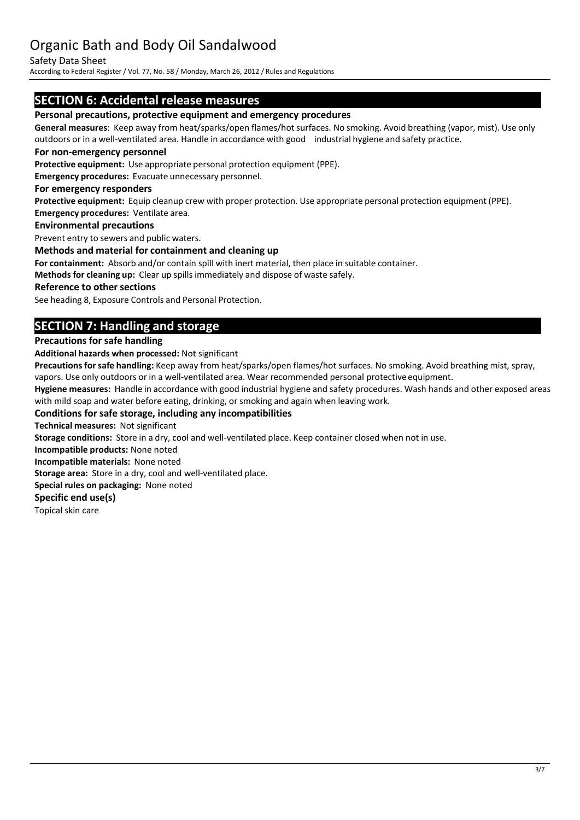#### Safety Data Sheet

According to Federal Register/ Vol. 77, No. 58 / Monday, March 26, 2012 / Rules and Regulations

### **SECTION 6: Accidental release measures**

#### **Personal precautions, protective equipment and emergency procedures**

**General measures**: Keep away from heat/sparks/open flames/hot surfaces. No smoking. Avoid breathing (vapor, mist). Use only outdoors or in a well-ventilated area. Handle in accordance with good industrial hygiene and safety practice.

#### **For non-emergency personnel**

**Protective equipment:** Use appropriate personal protection equipment (PPE).

**Emergency procedures:** Evacuate unnecessary personnel.

#### **For emergency responders**

**Protective equipment:** Equip cleanup crew with proper protection. Use appropriate personal protection equipment (PPE). **Emergency procedures:** Ventilate area.

#### **Environmental precautions**

Prevent entry to sewers and public waters.

#### **Methods and material for containment and cleaning up**

**For containment:** Absorb and/or contain spill with inert material, then place in suitable container.

**Methods for cleaning up:** Clear up spillsimmediately and dispose of waste safely.

#### **Reference to other sections**

See heading 8, Exposure Controls and Personal Protection.

## **SECTION 7: Handling and storage**

#### **Precautions for safe handling**

**Additional hazards when processed:** Not significant

Precautions for safe handling: Keep away from heat/sparks/open flames/hot surfaces. No smoking. Avoid breathing mist, spray, vapors. Use only outdoors or in a well-ventilated area. Wear recommended personal protective equipment.

**Hygiene measures:** Handle in accordance with good industrial hygiene and safety procedures. Wash hands and other exposed areas with mild soap and water before eating, drinking, or smoking and again when leaving work.

#### **Conditions for safe storage, including any incompatibilities**

**Technical measures:** Not significant

**Storage conditions:** Store in a dry, cool and well-ventilated place. Keep container closed when not in use.

**Incompatible products:** None noted

**Incompatible materials:** None noted

**Storage area:** Store in a dry, cool and well-ventilated place.

**Special rules on packaging:** None noted

#### **Specific end use(s)**

Topical skin care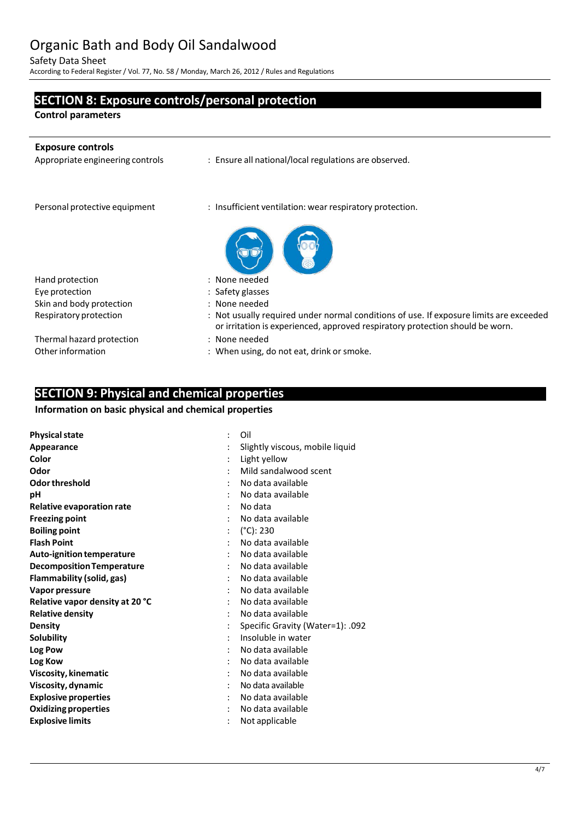Safety Data Sheet

According to Federal Register/ Vol. 77, No. 58 / Monday, March 26, 2012 / Rules and Regulations

**SECTION 8: Exposure controls/personal protection**

# **Control parameters Exposure controls** : Ensure all national/local regulations are observed. Personal protective equipment : Insufficient ventilation: wear respiratory protection. Hand protection in the set of the set of the set of the Hand protection Eye protection in the same state of the Safety glasses Skin and body protection : None needed<br>Respiratory protection : Not usually re : Not usually required under normal conditions of use. If exposure limits are exceeded or irritation is experienced, approved respiratory protection should be worn. Thermal hazard protection : None needed Other information : When using, do not eat, drink or smoke.

### **SECTION 9: Physical and chemical properties**

#### **Information on basic physical and chemical properties**

| <b>Physical state</b>            | Oil                              |
|----------------------------------|----------------------------------|
| Appearance                       | Slightly viscous, mobile liquid  |
| Color                            | Light yellow                     |
| Odor                             | Mild sandalwood scent            |
| Odor threshold                   | No data available                |
| рH                               | No data available                |
| <b>Relative evaporation rate</b> | No data                          |
| <b>Freezing point</b>            | No data available                |
| <b>Boiling point</b>             | $(^{\circ}C)$ : 230              |
| <b>Flash Point</b>               | No data available                |
| Auto-ignition temperature        | No data available                |
| <b>Decomposition Temperature</b> | No data available                |
| Flammability (solid, gas)        | No data available                |
| Vapor pressure                   | No data available                |
| Relative vapor density at 20 °C  | No data available                |
| <b>Relative density</b>          | No data available                |
| <b>Density</b>                   | Specific Gravity (Water=1): .092 |
| <b>Solubility</b>                | Insoluble in water               |
| Log Pow                          | No data available                |
| Log Kow                          | No data available                |
| Viscosity, kinematic             | No data available                |
| Viscosity, dynamic               | No data available                |
| <b>Explosive properties</b>      | No data available                |
| <b>Oxidizing properties</b>      | No data available                |
| <b>Explosive limits</b>          | Not applicable                   |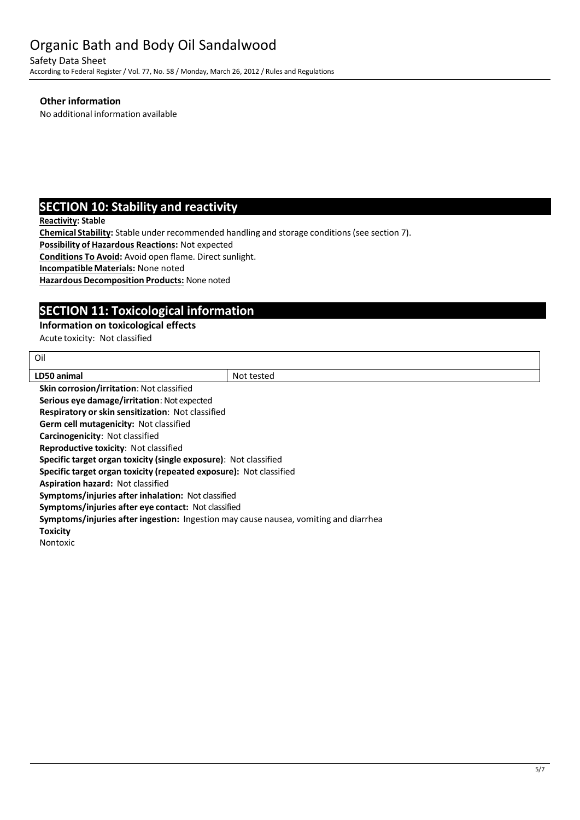Safety Data Sheet

According to Federal Register/ Vol. 77, No. 58 / Monday, March 26, 2012 / Rules and Regulations

#### **Other information**

No additional information available

## **SECTION 10: Stability and reactivity**

**Reactivity: Stable**

Oil

**Chemical Stability:** Stable under recommended handling and storage conditions(see section 7).

**Possibility of Hazardous Reactions:** Not expected

**Conditions To Avoid:** Avoid open flame. Direct sunlight.

**IncompatibleMaterials:** None noted

**Hazardous Decomposition Products:** None noted

## **SECTION 11: Toxicological information**

#### **Information on toxicological effects**

Acute toxicity: Not classified

| LD50 animal                                                                          | Not tested |  |
|--------------------------------------------------------------------------------------|------------|--|
| Skin corrosion/irritation: Not classified                                            |            |  |
| Serious eye damage/irritation: Not expected                                          |            |  |
| <b>Respiratory or skin sensitization: Not classified</b>                             |            |  |
| <b>Germ cell mutagenicity: Not classified</b>                                        |            |  |
| Carcinogenicity: Not classified                                                      |            |  |
| <b>Reproductive toxicity: Not classified</b>                                         |            |  |
| Specific target organ toxicity (single exposure): Not classified                     |            |  |
| Specific target organ toxicity (repeated exposure): Not classified                   |            |  |
| <b>Aspiration hazard: Not classified</b>                                             |            |  |
| Symptoms/injuries after inhalation: Not classified                                   |            |  |
| Symptoms/injuries after eye contact: Not classified                                  |            |  |
| Symptoms/injuries after ingestion: Ingestion may cause nausea, vomiting and diarrhea |            |  |
| <b>Toxicity</b>                                                                      |            |  |
| Nontoxic                                                                             |            |  |
|                                                                                      |            |  |
|                                                                                      |            |  |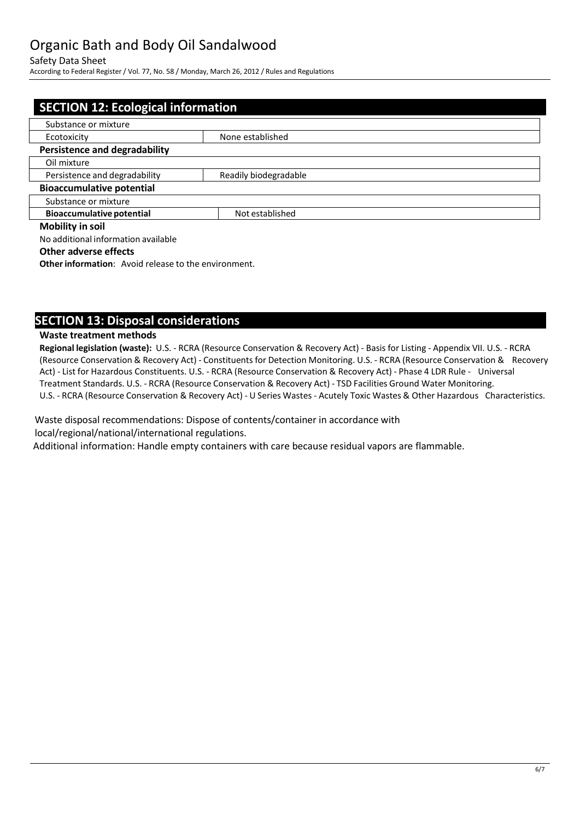#### Safety Data Sheet

According to Federal Register/ Vol. 77, No. 58 / Monday, March 26, 2012 / Rules and Regulations

| <b>SECTION 12: Ecological information</b> |                       |  |
|-------------------------------------------|-----------------------|--|
| Substance or mixture                      |                       |  |
| Ecotoxicity                               | None established      |  |
| <b>Persistence and degradability</b>      |                       |  |
| Oil mixture                               |                       |  |
| Persistence and degradability             | Readily biodegradable |  |
| <b>Bioaccumulative potential</b>          |                       |  |
| Substance or mixture                      |                       |  |
| <b>Bioaccumulative potential</b>          | Not established       |  |
| <b>Mobility in soil</b>                   |                       |  |
| No additional information available       |                       |  |

#### **Other adverse effects**

**Other information:** Avoid release to the environment.

### **SECTION 13: Disposal considerations**

#### **Waste treatment methods**

**Regional legislation (waste):** U.S. - RCRA (Resource Conservation & Recovery Act) - Basis for Listing - Appendix VII. U.S. - RCRA (Resource Conservation & Recovery Act) - Constituentsfor Detection Monitoring. U.S. - RCRA (Resource Conservation & Recovery Act) - List for Hazardous Constituents. U.S. - RCRA (Resource Conservation & Recovery Act) - Phase 4 LDR Rule - Universal Treatment Standards. U.S. - RCRA (Resource Conservation & Recovery Act) - TSD Facilities Ground Water Monitoring. U.S. - RCRA (Resource Conservation & Recovery Act) - U Series Wastes - Acutely Toxic Wastes & Other Hazardous Characteristics.

Waste disposal recommendations: Dispose of contents/container in accordance with local/regional/national/international regulations.

Additional information: Handle empty containers with care because residual vapors are flammable.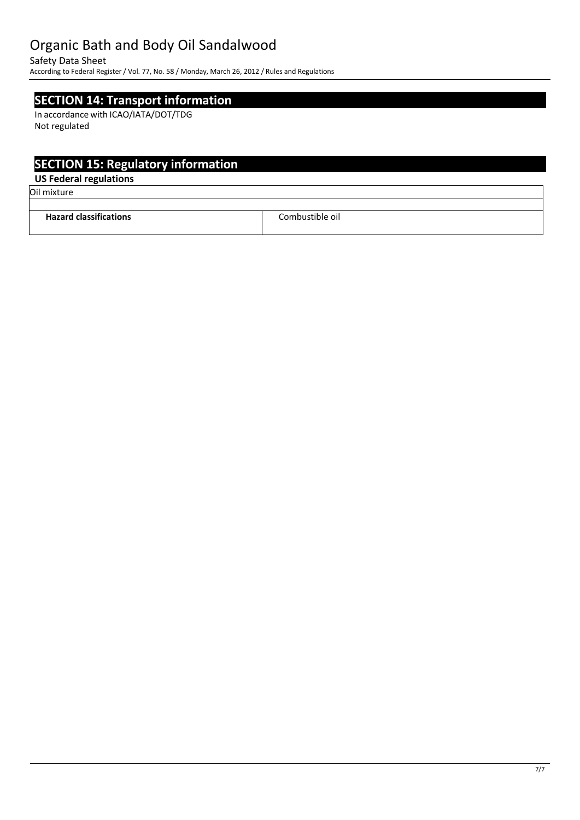Safety Data Sheet

According to Federal Register/ Vol. 77, No. 58 / Monday, March 26, 2012 / Rules and Regulations

## **SECTION 14: Transport information**

In accordance with ICAO/IATA/DOT/TDG Not regulated

## **SECTION 15: Regulatory information**

### **US Federal regulations**

Oil mixture

| <br><b>Hazard classifications</b> | Combustible oil.<br>____ |
|-----------------------------------|--------------------------|
|                                   |                          |